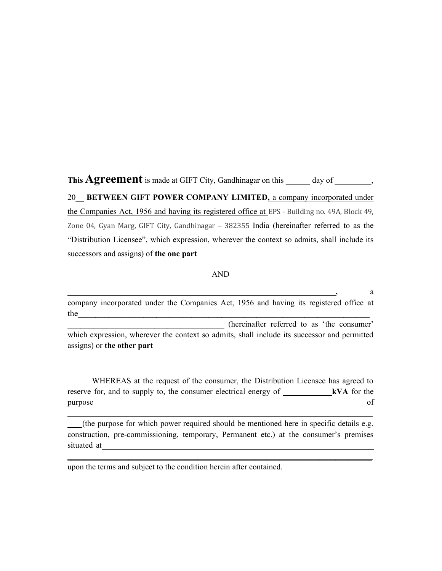This  $A$ greement is made at GIFT City, Gandhinagar on this day of  $\qquad \qquad$ ,

20 BETWEEN GIFT POWER COMPANY LIMITED, a company incorporated under the Companies Act, 1956 and having its registered office at EPS - Building no. 49A, Block 49, Zone 04, Gyan Marg, GIFT City, Gandhinagar – 382355 India (hereinafter referred to as the "Distribution Licensee", which expression, wherever the context so admits, shall include its successors and assigns) of the one part

## AND

 $\qquad \qquad \text{a}$ company incorporated under the Companies Act, 1956 and having its registered office at  $\text{the}$ \_\_\_\_\_\_\_\_\_\_\_\_\_\_\_\_\_\_\_\_\_\_\_\_\_\_\_\_\_\_\_\_\_\_\_\_ (hereinafter referred to as 'the consumer' which expression, wherever the context so admits, shall include its successor and permitted assigns) or the other part

WHEREAS at the request of the consumer, the Distribution Licensee has agreed to reserve for, and to supply to, the consumer electrical energy of \_\_\_\_\_\_\_\_\_\_\_\_kVA for the purpose of

\_\_\_\_\_\_\_\_\_\_\_\_\_\_\_\_\_\_\_\_\_\_\_\_\_\_\_\_\_\_\_\_\_\_\_\_\_\_\_\_\_\_\_\_\_\_\_\_\_\_\_\_\_\_\_\_\_\_\_\_\_\_\_\_\_\_\_\_\_\_\_\_\_\_\_

(the purpose for which power required should be mentioned here in specific details e.g. construction, pre-commissioning, temporary, Permanent etc.) at the consumer's premises situated at

\_\_\_\_\_\_\_\_\_\_\_\_\_\_\_\_\_\_\_\_\_\_\_\_\_\_\_\_\_\_\_\_\_\_\_\_\_\_\_\_\_\_\_\_\_\_\_\_\_\_\_\_\_\_\_\_\_\_\_\_\_\_\_\_\_\_\_\_\_\_\_\_\_\_\_

upon the terms and subject to the condition herein after contained.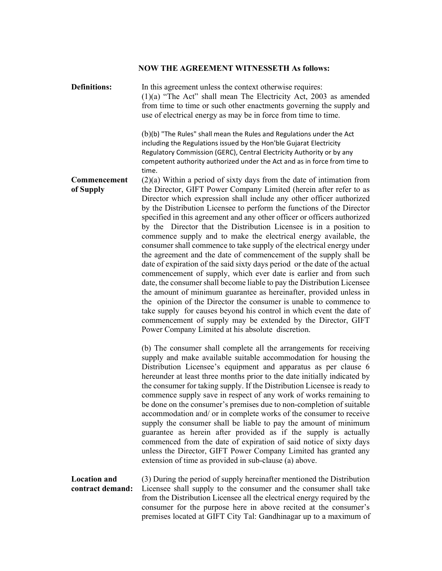## NOW THE AGREEMENT WITNESSETH As follows:

Definitions: In this agreement unless the context otherwise requires: (1)(a) "The Act" shall mean The Electricity Act, 2003 as amended from time to time or such other enactments governing the supply and use of electrical energy as may be in force from time to time. (b)(b) "The Rules" shall mean the Rules and Regulations under the Act including the Regulations issued by the Hon'ble Gujarat Electricity Regulatory Commission (GERC), Central Electricity Authority or by any competent authority authorized under the Act and as in force from time to time. Commencement of Supply (2)(a) Within a period of sixty days from the date of intimation from the Director, GIFT Power Company Limited (herein after refer to as Director which expression shall include any other officer authorized by the Distribution Licensee to perform the functions of the Director specified in this agreement and any other officer or officers authorized by the Director that the Distribution Licensee is in a position to commence supply and to make the electrical energy available, the consumer shall commence to take supply of the electrical energy under the agreement and the date of commencement of the supply shall be date of expiration of the said sixty days period or the date of the actual commencement of supply, which ever date is earlier and from such date, the consumer shall become liable to pay the Distribution Licensee the amount of minimum guarantee as hereinafter, provided unless in the opinion of the Director the consumer is unable to commence to take supply for causes beyond his control in which event the date of commencement of supply may be extended by the Director, GIFT Power Company Limited at his absolute discretion. (b) The consumer shall complete all the arrangements for receiving supply and make available suitable accommodation for housing the Distribution Licensee's equipment and apparatus as per clause 6 hereunder at least three months prior to the date initially indicated by the consumer for taking supply. If the Distribution Licensee is ready to commence supply save in respect of any work of works remaining to be done on the consumer's premises due to non-completion of suitable accommodation and/ or in complete works of the consumer to receive supply the consumer shall be liable to pay the amount of minimum guarantee as herein after provided as if the supply is actually commenced from the date of expiration of said notice of sixty days unless the Director, GIFT Power Company Limited has granted any extension of time as provided in sub-clause (a) above. Location and contract demand: (3) During the period of supply hereinafter mentioned the Distribution Licensee shall supply to the consumer and the consumer shall take from the Distribution Licensee all the electrical energy required by the consumer for the purpose here in above recited at the consumer's premises located at GIFT City Tal: Gandhinagar up to a maximum of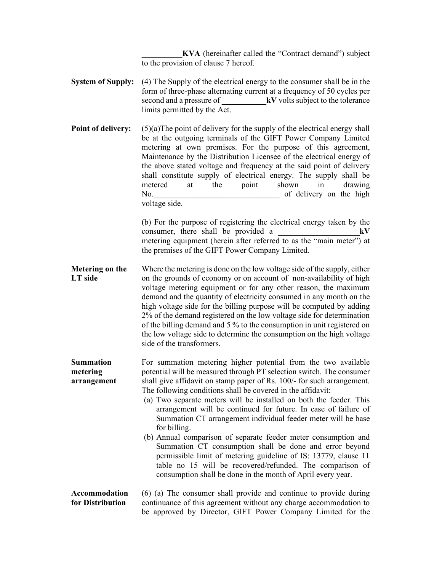KVA (hereinafter called the "Contract demand") subject to the provision of clause 7 hereof.

System of Supply: (4) The Supply of the electrical energy to the consumer shall be in the form of three-phase alternating current at a frequency of 50 cycles per second and a pressure of  $kV$  volts subject to the tolerance limits permitted by the Act.

**Point of delivery:**  $(5)(a)$ The point of delivery for the supply of the electrical energy shall be at the outgoing terminals of the GIFT Power Company Limited metering at own premises. For the purpose of this agreement, Maintenance by the Distribution Licensee of the electrical energy of the above stated voltage and frequency at the said point of delivery shall constitute supply of electrical energy. The supply shall be metered at the point shown in drawing No. No. **No.**  $\alpha$  is the set of delivery on the high voltage side.

> (b) For the purpose of registering the electrical energy taken by the consumer, there shall be provided a  $kV$ metering equipment (herein after referred to as the "main meter") at the premises of the GIFT Power Company Limited.

Metering on the LT side Where the metering is done on the low voltage side of the supply, either on the grounds of economy or on account of non-availability of high voltage metering equipment or for any other reason, the maximum demand and the quantity of electricity consumed in any month on the high voltage side for the billing purpose will be computed by adding 2% of the demand registered on the low voltage side for determination of the billing demand and 5 % to the consumption in unit registered on the low voltage side to determine the consumption on the high voltage side of the transformers.

Summation metering arrangement For summation metering higher potential from the two available potential will be measured through PT selection switch. The consumer shall give affidavit on stamp paper of Rs. 100/- for such arrangement. The following conditions shall be covered in the affidavit:

- (a) Two separate meters will be installed on both the feeder. This arrangement will be continued for future. In case of failure of Summation CT arrangement individual feeder meter will be base for billing.
- (b) Annual comparison of separate feeder meter consumption and Summation CT consumption shall be done and error beyond permissible limit of metering guideline of IS: 13779, clause 11 table no 15 will be recovered/refunded. The comparison of consumption shall be done in the month of April every year.

## Accommodation for Distribution (6) (a) The consumer shall provide and continue to provide during continuance of this agreement without any charge accommodation to be approved by Director, GIFT Power Company Limited for the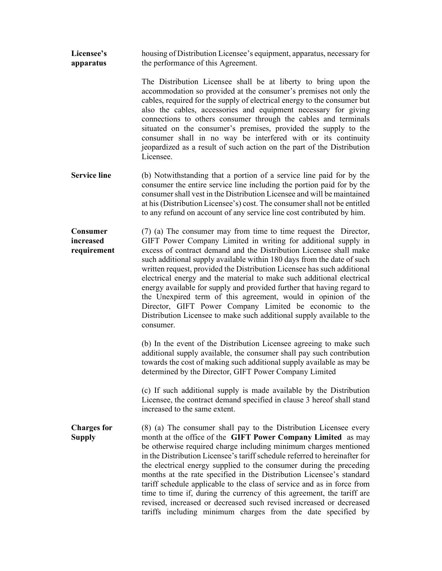Licensee's apparatus housing of Distribution Licensee's equipment, apparatus, necessary for the performance of this Agreement.

> The Distribution Licensee shall be at liberty to bring upon the accommodation so provided at the consumer's premises not only the cables, required for the supply of electrical energy to the consumer but also the cables, accessories and equipment necessary for giving connections to others consumer through the cables and terminals situated on the consumer's premises, provided the supply to the consumer shall in no way be interfered with or its continuity jeopardized as a result of such action on the part of the Distribution Licensee.

Service line (b) Notwithstanding that a portion of a service line paid for by the consumer the entire service line including the portion paid for by the consumer shall vest in the Distribution Licensee and will be maintained at his (Distribution Licensee's) cost. The consumer shall not be entitled to any refund on account of any service line cost contributed by him.

Consumer increased requirement (7) (a) The consumer may from time to time request the Director, GIFT Power Company Limited in writing for additional supply in excess of contract demand and the Distribution Licensee shall make such additional supply available within 180 days from the date of such written request, provided the Distribution Licensee has such additional electrical energy and the material to make such additional electrical energy available for supply and provided further that having regard to the Unexpired term of this agreement, would in opinion of the Director, GIFT Power Company Limited be economic to the Distribution Licensee to make such additional supply available to the consumer.

> (b) In the event of the Distribution Licensee agreeing to make such additional supply available, the consumer shall pay such contribution towards the cost of making such additional supply available as may be determined by the Director, GIFT Power Company Limited

> (c) If such additional supply is made available by the Distribution Licensee, the contract demand specified in clause 3 hereof shall stand increased to the same extent.

Charges for **Supply** (8) (a) The consumer shall pay to the Distribution Licensee every month at the office of the GIFT Power Company Limited as may be otherwise required charge including minimum charges mentioned in the Distribution Licensee's tariff schedule referred to hereinafter for the electrical energy supplied to the consumer during the preceding months at the rate specified in the Distribution Licensee's standard tariff schedule applicable to the class of service and as in force from time to time if, during the currency of this agreement, the tariff are revised, increased or decreased such revised increased or decreased tariffs including minimum charges from the date specified by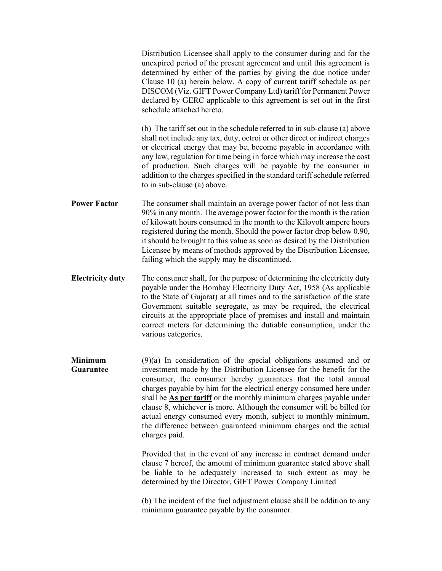|                                    | Distribution Licensee shall apply to the consumer during and for the<br>unexpired period of the present agreement and until this agreement is<br>determined by either of the parties by giving the due notice under<br>Clause 10 (a) herein below. A copy of current tariff schedule as per<br>DISCOM (Viz. GIFT Power Company Ltd) tariff for Permanent Power<br>declared by GERC applicable to this agreement is set out in the first<br>schedule attached hereto.                                                                                                                                       |
|------------------------------------|------------------------------------------------------------------------------------------------------------------------------------------------------------------------------------------------------------------------------------------------------------------------------------------------------------------------------------------------------------------------------------------------------------------------------------------------------------------------------------------------------------------------------------------------------------------------------------------------------------|
|                                    | (b) The tariff set out in the schedule referred to in sub-clause (a) above<br>shall not include any tax, duty, octroi or other direct or indirect charges<br>or electrical energy that may be, become payable in accordance with<br>any law, regulation for time being in force which may increase the cost<br>of production. Such charges will be payable by the consumer in<br>addition to the charges specified in the standard tariff schedule referred<br>to in sub-clause (a) above.                                                                                                                 |
| <b>Power Factor</b>                | The consumer shall maintain an average power factor of not less than<br>90% in any month. The average power factor for the month is the ration<br>of kilowatt hours consumed in the month to the Kilovolt ampere hours<br>registered during the month. Should the power factor drop below 0.90,<br>it should be brought to this value as soon as desired by the Distribution<br>Licensee by means of methods approved by the Distribution Licensee,<br>failing which the supply may be discontinued.                                                                                                       |
| <b>Electricity duty</b>            | The consumer shall, for the purpose of determining the electricity duty<br>payable under the Bombay Electricity Duty Act, 1958 (As applicable<br>to the State of Gujarat) at all times and to the satisfaction of the state<br>Government suitable segregate, as may be required, the electrical<br>circuits at the appropriate place of premises and install and maintain<br>correct meters for determining the dutiable consumption, under the<br>various categories.                                                                                                                                    |
| <b>Minimum</b><br><b>Guarantee</b> | $(9)(a)$ In consideration of the special obligations assumed and or<br>investment made by the Distribution Licensee for the benefit for the<br>consumer, the consumer hereby guarantees that the total annual<br>charges payable by him for the electrical energy consumed here under<br>shall be $\overline{As}$ per tariff or the monthly minimum charges payable under<br>clause 8, whichever is more. Although the consumer will be billed for<br>actual energy consumed every month, subject to monthly minimum,<br>the difference between guaranteed minimum charges and the actual<br>charges paid. |
|                                    | Provided that in the event of any increase in contract demand under<br>clause 7 hereof, the amount of minimum guarantee stated above shall<br>be liable to be adequately increased to such extent as may be<br>determined by the Director, GIFT Power Company Limited                                                                                                                                                                                                                                                                                                                                      |
|                                    | (b) The incident of the fuel adjustment clause shall be addition to any<br>minimum guarantee payable by the consumer.                                                                                                                                                                                                                                                                                                                                                                                                                                                                                      |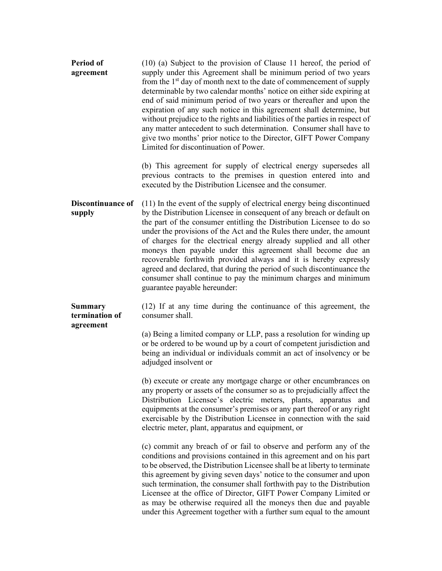| <b>Period of</b><br>agreement      | $(10)$ (a) Subject to the provision of Clause 11 hereof, the period of<br>supply under this Agreement shall be minimum period of two years<br>from the 1 <sup>st</sup> day of month next to the date of commencement of supply<br>determinable by two calendar months' notice on either side expiring at<br>end of said minimum period of two years or thereafter and upon the<br>expiration of any such notice in this agreement shall determine, but<br>without prejudice to the rights and liabilities of the parties in respect of<br>any matter antecedent to such determination. Consumer shall have to<br>give two months' prior notice to the Director, GIFT Power Company<br>Limited for discontinuation of Power. |
|------------------------------------|-----------------------------------------------------------------------------------------------------------------------------------------------------------------------------------------------------------------------------------------------------------------------------------------------------------------------------------------------------------------------------------------------------------------------------------------------------------------------------------------------------------------------------------------------------------------------------------------------------------------------------------------------------------------------------------------------------------------------------|
|                                    | (b) This agreement for supply of electrical energy supersedes all<br>previous contracts to the premises in question entered into and<br>executed by the Distribution Licensee and the consumer.                                                                                                                                                                                                                                                                                                                                                                                                                                                                                                                             |
| <b>Discontinuance of</b><br>supply | (11) In the event of the supply of electrical energy being discontinued<br>by the Distribution Licensee in consequent of any breach or default on<br>the part of the consumer entitling the Distribution Licensee to do so<br>under the provisions of the Act and the Rules there under, the amount<br>of charges for the electrical energy already supplied and all other<br>moneys then payable under this agreement shall become due an<br>recoverable forthwith provided always and it is hereby expressly<br>agreed and declared, that during the period of such discontinuance the<br>consumer shall continue to pay the minimum charges and minimum<br>guarantee payable hereunder:                                  |
| <b>Summary</b><br>termination of   | (12) If at any time during the continuance of this agreement, the<br>consumer shall.                                                                                                                                                                                                                                                                                                                                                                                                                                                                                                                                                                                                                                        |
| agreement                          | (a) Being a limited company or LLP, pass a resolution for winding up<br>or be ordered to be wound up by a court of competent jurisdiction and<br>being an individual or individuals commit an act of insolvency or be<br>adjudged insolvent or                                                                                                                                                                                                                                                                                                                                                                                                                                                                              |
|                                    | (b) execute or create any mortgage charge or other encumbrances on<br>any property or assets of the consumer so as to prejudicially affect the<br>Distribution Licensee's electric meters, plants, apparatus and<br>equipments at the consumer's premises or any part thereof or any right<br>exercisable by the Distribution Licensee in connection with the said<br>electric meter, plant, apparatus and equipment, or                                                                                                                                                                                                                                                                                                    |
|                                    | (c) commit any breach of or fail to observe and perform any of the<br>conditions and provisions contained in this agreement and on his part<br>to be observed, the Distribution Licensee shall be at liberty to terminate<br>this agreement by giving seven days' notice to the consumer and upon<br>such termination, the consumer shall forthwith pay to the Distribution<br>Licensee at the office of Director, GIFT Power Company Limited or<br>as may be otherwise required all the moneys then due and payable<br>under this Agreement together with a further sum equal to the amount                                                                                                                                |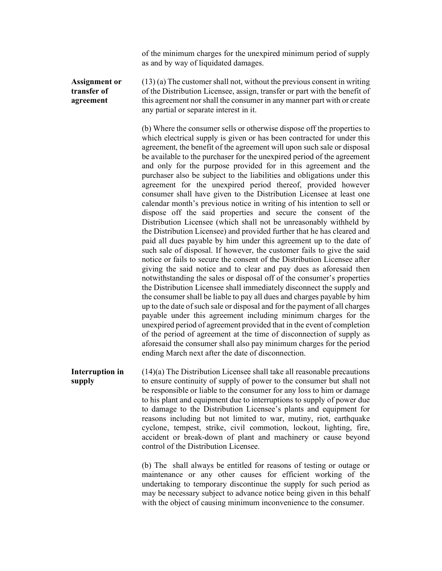of the minimum charges for the unexpired minimum period of supply as and by way of liquidated damages.

## Assignment or transfer of agreement

(13) (a) The customer shall not, without the previous consent in writing of the Distribution Licensee, assign, transfer or part with the benefit of this agreement nor shall the consumer in any manner part with or create any partial or separate interest in it.

(b) Where the consumer sells or otherwise dispose off the properties to which electrical supply is given or has been contracted for under this agreement, the benefit of the agreement will upon such sale or disposal be available to the purchaser for the unexpired period of the agreement and only for the purpose provided for in this agreement and the purchaser also be subject to the liabilities and obligations under this agreement for the unexpired period thereof, provided however consumer shall have given to the Distribution Licensee at least one calendar month's previous notice in writing of his intention to sell or dispose off the said properties and secure the consent of the Distribution Licensee (which shall not be unreasonably withheld by the Distribution Licensee) and provided further that he has cleared and paid all dues payable by him under this agreement up to the date of such sale of disposal. If however, the customer fails to give the said notice or fails to secure the consent of the Distribution Licensee after giving the said notice and to clear and pay dues as aforesaid then notwithstanding the sales or disposal off of the consumer's properties the Distribution Licensee shall immediately disconnect the supply and the consumer shall be liable to pay all dues and charges payable by him up to the date of such sale or disposal and for the payment of all charges payable under this agreement including minimum charges for the unexpired period of agreement provided that in the event of completion of the period of agreement at the time of disconnection of supply as aforesaid the consumer shall also pay minimum charges for the period ending March next after the date of disconnection.

Interruption in supply (14)(a) The Distribution Licensee shall take all reasonable precautions to ensure continuity of supply of power to the consumer but shall not be responsible or liable to the consumer for any loss to him or damage to his plant and equipment due to interruptions to supply of power due to damage to the Distribution Licensee's plants and equipment for reasons including but not limited to war, mutiny, riot, earthquake cyclone, tempest, strike, civil commotion, lockout, lighting, fire, accident or break-down of plant and machinery or cause beyond control of the Distribution Licensee.

> (b) The shall always be entitled for reasons of testing or outage or maintenance or any other causes for efficient working of the undertaking to temporary discontinue the supply for such period as may be necessary subject to advance notice being given in this behalf with the object of causing minimum inconvenience to the consumer.